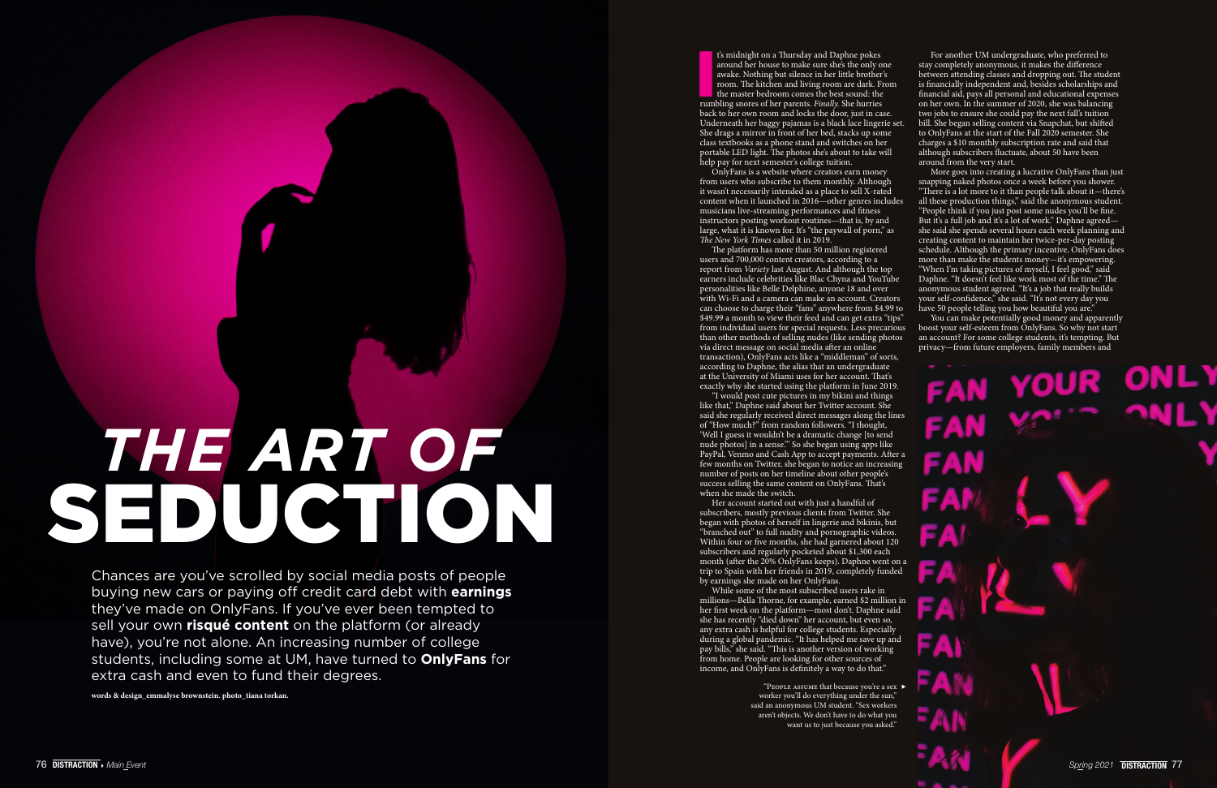

Chances are you've scrolled by social media posts of people buying new cars or paying off credit card debt with **earnings** they've made on OnlyFans. If you've ever been tempted to sell your own **risqué content** on the platform (or already have), you're not alone. An increasing number of college students, including some at UM, have turned to **OnlyFans** for extra cash and even to fund their degrees.

## *THE ART OF* SEDUCTION

**words & design\_emmalyse brownstein. photo\_tiana torkan.** 

I's midnight on a Thursday and Daphne pokes<br>around her house to make sure she's the only of<br>awake. Nothing but silence in her little brother<br>room. The kitchen and living room are dark. Fr<br>the master bedroom comes the best t's midnight on a Thursday and Daphne pokes around her house to make sure she's the only one awake. Nothing but silence in her little brother's room. The kitchen and living room are dark. From the master bedroom comes the best sound: the back to her own room and locks the door, just in case. Underneath her baggy pajamas is a black lace lingerie set. She drags a mirror in front of her bed, stacks up some class textbooks as a phone stand and switches on her portable LED light. The photos she's about to take will help pay for next semester's college tuition.

OnlyFans is a website where creators earn money from users who subscribe to them monthly. Although it wasn't necessarily intended as a place to sell X-rated content when it launched in 2016—other genres includes musicians live-streaming performances and fitness instructors posting workout routines—that is, by and large, what it is known for. It's "the paywall of porn," as *The New York Times* called it in 2019.

The platform has more than 50 million registered users and 700,000 content creators, according to a report from *Variety* last August. And although the top earners include celebrities like Blac Chyna and YouTube personalities like Belle Delphine, anyone 18 and over with Wi-Fi and a camera can make an account. Creators can choose to charge their "fans" anywhere from \$4.99 to \$49.99 a month to view their feed and can get extra "tips" from individual users for special requests. Less precarious than other methods of selling nudes (like sending photos via direct message on social media after an online transaction), OnlyFans acts like a "middleman" of sorts, according to Daphne, the alias that an undergraduate at the University of Miami uses for her account. That's exactly why she started using the platform in June 2019.

"I would post cute pictures in my bikini and things like that," Daphne said about her Twitter account. She said she regularly received direct messages along the lines of "How much?" from random followers. "I thought, 'Well I guess it wouldn't be a dramatic change [to send nude photos] in a sense.'" So she began using apps like PayPal, Venmo and Cash App to accept payments. After a few months on Twitter, she began to notice an increasing number of posts on her timeline about other people's success selling the same content on OnlyFans. That's when she made the switch.

You can make potentially good money and apparently boost your self-esteem from OnlyFans. So why not start an account? For some college students, it's tempting. But privacy—from future employers, family members and

Her account started out with just a handful of subscribers, mostly previous clients from Twitter. She began with photos of herself in lingerie and bikinis, but "branched out" to full nudity and pornographic videos. Within four or five months, she had garnered about 120 subscribers and regularly pocketed about \$1,300 each month (after the 20% OnlyFans keeps). Daphne went on a trip to Spain with her friends in 2019, completely funded by earnings she made on her OnlyFans.

While some of the most subscribed users rake in millions—Bella Thorne, for example, earned \$2 million in her first week on the platform—most don't. Daphne said she has recently "died down" her account, but even so, any extra cash is helpful for college students. Especially during a global pandemic. "It has helped me save up and pay bills," she said. "This is another version of working from home. People are looking for other sources of income, and OnlyFans is definitely a way to do that."

For another UM undergraduate, who preferred to stay completely anonymous, it makes the difference between attending classes and dropping out. The student is financially independent and, besides scholarships and financial aid, pays all personal and educational expenses on her own. In the summer of 2020, she was balancing two jobs to ensure she could pay the next fall's tuition bill. She began selling content via Snapchat, but shifted to OnlyFans at the start of the Fall 2020 semester. She charges a \$10 monthly subscription rate and said that although subscribers fluctuate, about 50 have been around from the very start.

More goes into creating a lucrative OnlyFans than just snapping naked photos once a week before you shower. "There is a lot more to it than people talk about it—there's all these production things," said the anonymous student. "People think if you just post some nudes you'll be fine. But it's a full job and it's a lot of work." Daphne agreed she said she spends several hours each week planning and creating content to maintain her twice-per-day posting schedule. Although the primary incentive, OnlyFans does more than make the students money—it's empowering. "When I'm taking pictures of myself, I feel good," said Daphne. "It doesn't feel like work most of the time." The anonymous student agreed. "It's a job that really builds your self-confidence," she said. "It's not every day you have 50 people telling you how beautiful you are."

"People assume that because you're a sex worker you'll do everything under the sun," said an anonymous UM student. "Sex workers aren't objects. We don't have to do what you want us to just because you asked."